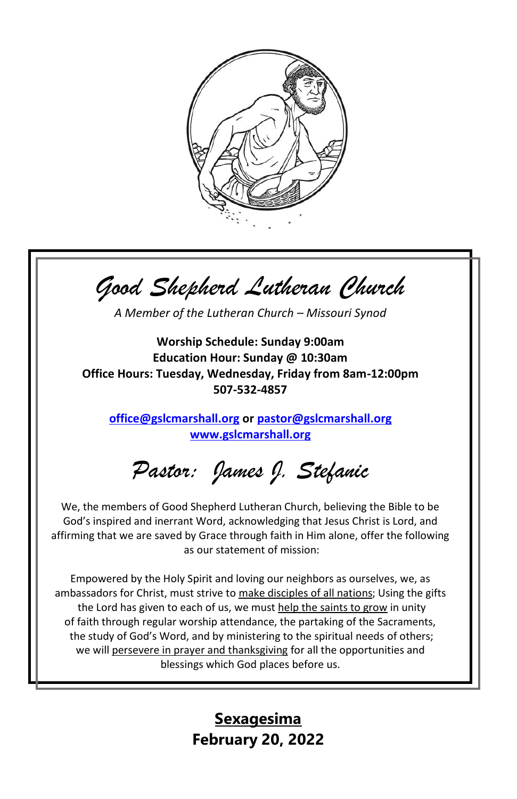

*Good Shepherd Lutheran Church*

*A Member of the Lutheran Church – Missouri Synod*

**Worship Schedule: Sunday 9:00am Education Hour: Sunday @ 10:30am Office Hours: Tuesday, Wednesday, Friday from 8am-12:00pm 507-532-4857**

**[office@gslcmarshall.org](mailto:office@gslcmarshall.org) or [pastor@gslcmarshall.org](mailto:pastor@gslcmarshall.org) [www.gslcmarshall.org](http://www.gslcmarshall.org/)**

*Pastor: James J. Stefanic*

We, the members of Good Shepherd Lutheran Church, believing the Bible to be God's inspired and inerrant Word, acknowledging that Jesus Christ is Lord, and affirming that we are saved by Grace through faith in Him alone, offer the following as our statement of mission:

Empowered by the Holy Spirit and loving our neighbors as ourselves, we, as ambassadors for Christ, must strive to make disciples of all nations; Using the gifts the Lord has given to each of us, we must help the saints to grow in unity of faith through regular worship attendance, the partaking of the Sacraments, the study of God's Word, and by ministering to the spiritual needs of others; we will persevere in prayer and thanksgiving for all the opportunities and blessings which God places before us.

> **Sexagesima February 20, 2022**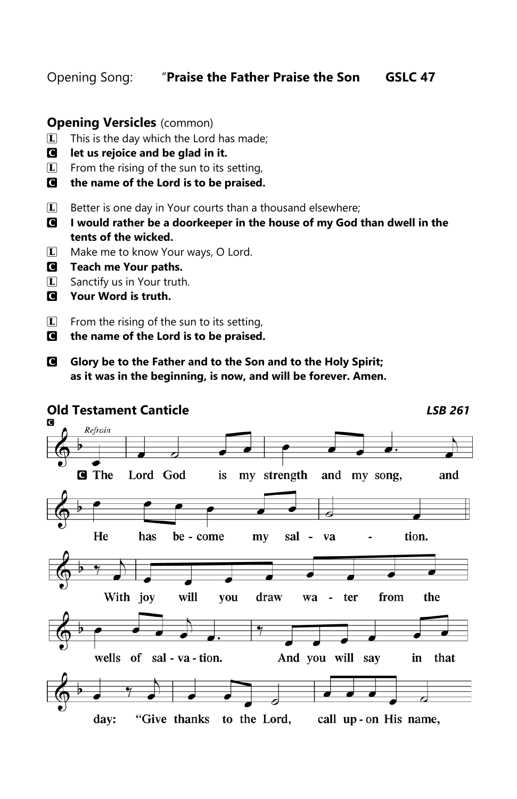Opening Song: "**Praise the Father Praise the Son GSLC 47**

## **Opening Versicles** (common)

- $\boxed{\mathbf{L}}$  This is the day which the Lord has made;
- C **let us rejoice and be glad in it.**
- $\boxed{\mathbf{L}}$  From the rising of the sun to its setting,
- C **the name of the Lord is to be praised.**
- $\Box$  Better is one day in Your courts than a thousand elsewhere;
- C **I would rather be a doorkeeper in the house of my God than dwell in the tents of the wicked.**
- **L** Make me to know Your ways, O Lord.
- C **Teach me Your paths.**
- **L** Sanctify us in Your truth.
- C **Your Word is truth.**
- $\boxed{\mathbf{L}}$  From the rising of the sun to its setting,
- C **the name of the Lord is to be praised.**
- C **Glory be to the Father and to the Son and to the Holy Spirit; as it was in the beginning, is now, and will be forever. Amen.**

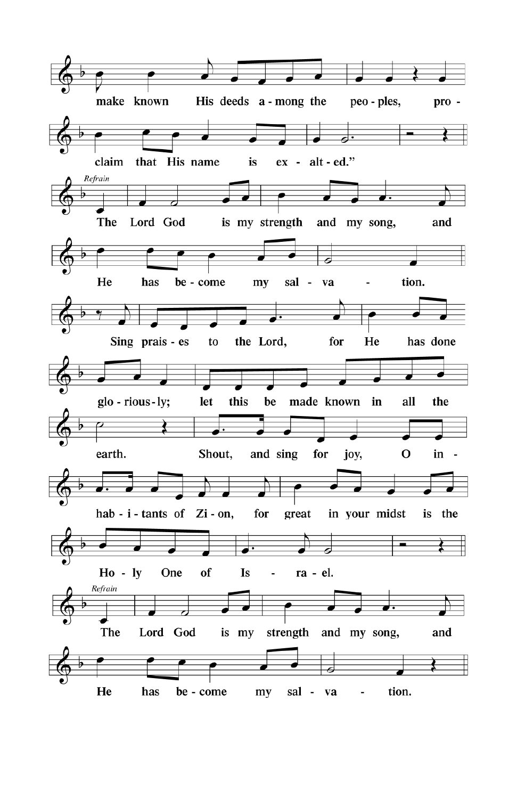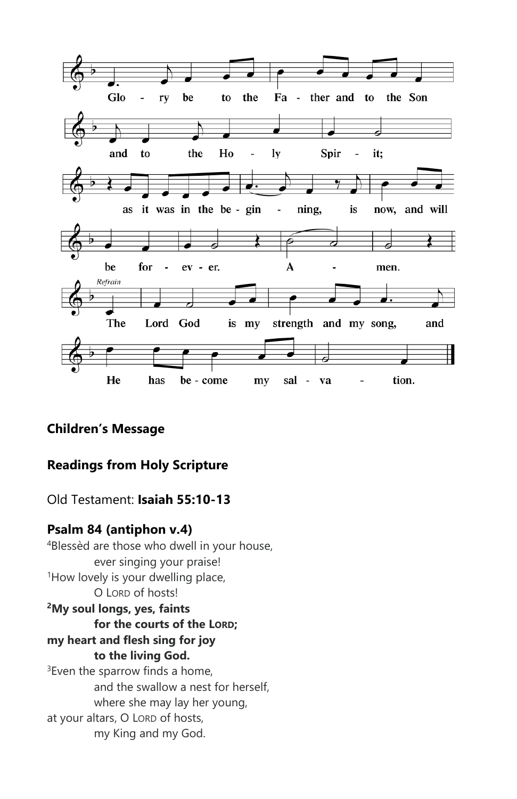

# **Children's Message**

# **Readings from Holy Scripture**

# Old Testament: **Isaiah 55:10-13**

# **Psalm 84 (antiphon v.4)**

<sup>4</sup>Blessèd are those who dwell in your house, ever singing your praise! <sup>1</sup>How lovely is your dwelling place, O LORD of hosts! **<sup>2</sup>My soul longs, yes, faints for the courts of the LORD; my heart and flesh sing for joy to the living God.**  $3$ Even the sparrow finds a home, and the swallow a nest for herself, where she may lay her young, at your altars, O LORD of hosts, my King and my God.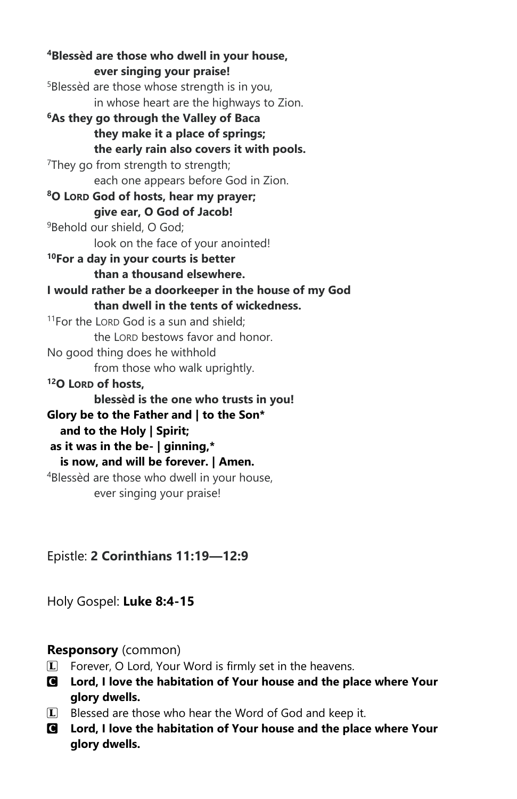**<sup>4</sup>Blessèd are those who dwell in your house, ever singing your praise!** <sup>5</sup>Blessèd are those whose strength is in you, in whose heart are the highways to Zion. **<sup>6</sup>As they go through the Valley of Baca they make it a place of springs; the early rain also covers it with pools.** <sup>7</sup>They go from strength to strength; each one appears before God in Zion. **<sup>8</sup>O LORD God of hosts, hear my prayer; give ear, O God of Jacob!** <sup>9</sup>Behold our shield, O God; look on the face of your anointed! **<sup>10</sup>For a day in your courts is better than a thousand elsewhere. I would rather be a doorkeeper in the house of my God than dwell in the tents of wickedness.** <sup>11</sup>For the LORD God is a sun and shield; the LORD bestows favor and honor. No good thing does he withhold from those who walk uprightly. **<sup>12</sup>O LORD of hosts, blessèd is the one who trusts in you! Glory be to the Father and | to the Son\* and to the Holy | Spirit; as it was in the be- | ginning,\* is now, and will be forever. | Amen.**  <sup>4</sup>Blessèd are those who dwell in your house, ever singing your praise!

Epistle: **2 Corinthians 11:19—12:9**

Holy Gospel: **Luke 8:4-15**

# **Responsory** (common)

- $\left| \mathbf{I} \right|$  Forever, O Lord, Your Word is firmly set in the heavens.
- C **Lord, I love the habitation of Your house and the place where Your glory dwells.**
- $\Box$  Blessed are those who hear the Word of God and keep it.
- C **Lord, I love the habitation of Your house and the place where Your glory dwells.**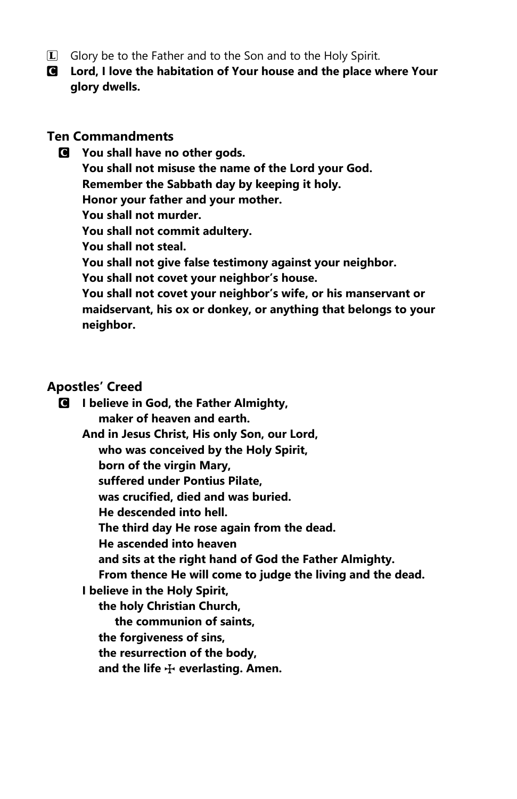- **L** Glory be to the Father and to the Son and to the Holy Spirit.
- C **Lord, I love the habitation of Your house and the place where Your glory dwells.**

### **Ten Commandments**

C **You shall have no other gods. You shall not misuse the name of the Lord your God. Remember the Sabbath day by keeping it holy. Honor your father and your mother. You shall not murder. You shall not commit adultery. You shall not steal. You shall not give false testimony against your neighbor. You shall not covet your neighbor's house. You shall not covet your neighbor's wife, or his manservant or maidservant, his ox or donkey, or anything that belongs to your neighbor.**

## **Apostles' Creed**

C **I believe in God, the Father Almighty, maker of heaven and earth. And in Jesus Christ, His only Son, our Lord, who was conceived by the Holy Spirit, born of the virgin Mary, suffered under Pontius Pilate, was crucified, died and was buried. He descended into hell. The third day He rose again from the dead. He ascended into heaven and sits at the right hand of God the Father Almighty. From thence He will come to judge the living and the dead. I believe in the Holy Spirit, the holy Christian Church, the communion of saints, the forgiveness of sins, the resurrection of the body, and the life** T **everlasting. Amen.**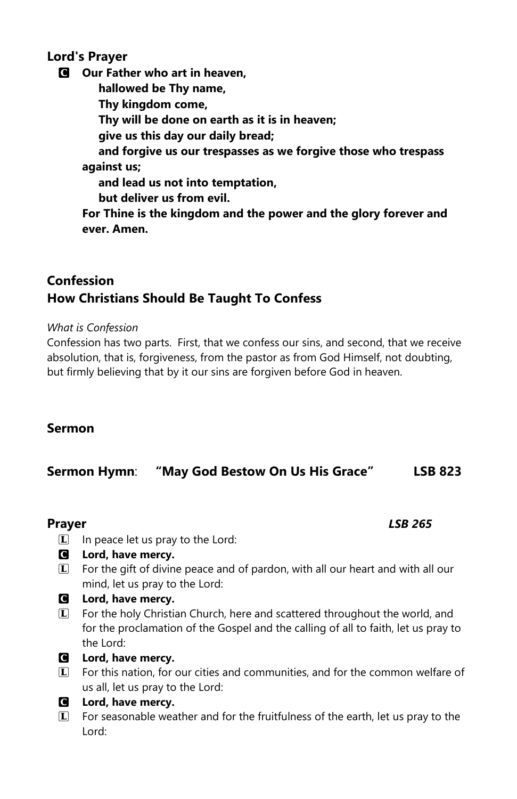## **Lord's Prayer**

C **Our Father who art in heaven, hallowed be Thy name, Thy kingdom come, Thy will be done on earth as it is in heaven; give us this day our daily bread; and forgive us our trespasses as we forgive those who trespass against us; and lead us not into temptation, but deliver us from evil. For Thine is the kingdom and the power and the glory forever and ever. Amen.**

# **Confession How Christians Should Be Taught To Confess**

*What is Confession*

Confession has two parts. First, that we confess our sins, and second, that we receive absolution, that is, forgiveness, from the pastor as from God Himself, not doubting, but firmly believing that by it our sins are forgiven before God in heaven.

# **Sermon**

# **Sermon Hymn**: **"May God Bestow On Us His Grace" LSB 823**

## **Prayer** *LSB 265*

- $\Box$  In peace let us pray to the Lord:
- C **Lord, have mercy.**
- $I$  For the gift of divine peace and of pardon, with all our heart and with all our mind, let us pray to the Lord:
- C **Lord, have mercy.**
- L For the holy Christian Church, here and scattered throughout the world, and for the proclamation of the Gospel and the calling of all to faith, let us pray to the Lord:
- C **Lord, have mercy.**
- L For this nation, for our cities and communities, and for the common welfare of us all, let us pray to the Lord:
- C **Lord, have mercy.**
- $I$  For seasonable weather and for the fruitfulness of the earth, let us pray to the Lord: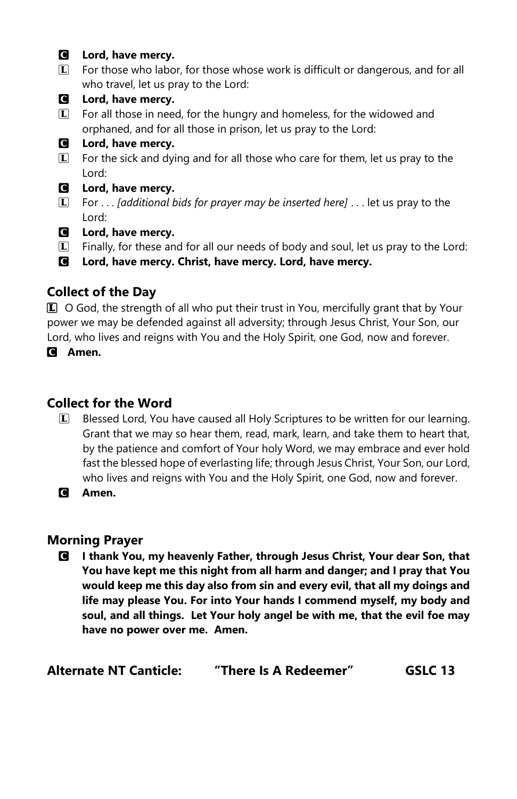#### C **Lord, have mercy.**

- L For those who labor, for those whose work is difficult or dangerous, and for all who travel, let us pray to the Lord:
- C **Lord, have mercy.**
- $\Box$  For all those in need, for the hungry and homeless, for the widowed and orphaned, and for all those in prison, let us pray to the Lord:

## C **Lord, have mercy.**

- $I$  For the sick and dying and for all those who care for them, let us pray to the Lord:
- C **Lord, have mercy.**
- L For . . . *[additional bids for prayer may be inserted here]* . . . let us pray to the Lord:
- C **Lord, have mercy.**
- $I$  Finally, for these and for all our needs of body and soul, let us pray to the Lord:
- C **Lord, have mercy. Christ, have mercy. Lord, have mercy.**

# **Collect of the Day**

L O God, the strength of all who put their trust in You, mercifully grant that by Your power we may be defended against all adversity; through Jesus Christ, Your Son, our Lord, who lives and reigns with You and the Holy Spirit, one God, now and forever.

C **Amen.**

# **Collect for the Word**

- L Blessed Lord, You have caused all Holy Scriptures to be written for our learning. Grant that we may so hear them, read, mark, learn, and take them to heart that, by the patience and comfort of Your holy Word, we may embrace and ever hold fast the blessed hope of everlasting life; through Jesus Christ, Your Son, our Lord, who lives and reigns with You and the Holy Spirit, one God, now and forever.
- C **Amen.**

## **Morning Prayer**

C **I thank You, my heavenly Father, through Jesus Christ, Your dear Son, that You have kept me this night from all harm and danger; and I pray that You would keep me this day also from sin and every evil, that all my doings and life may please You. For into Your hands I commend myself, my body and soul, and all things. Let Your holy angel be with me, that the evil foe may have no power over me. Amen.** 

| <b>Alternate NT Canticle:</b> | "There Is A Redeemer" | GSLC 13 |
|-------------------------------|-----------------------|---------|
|-------------------------------|-----------------------|---------|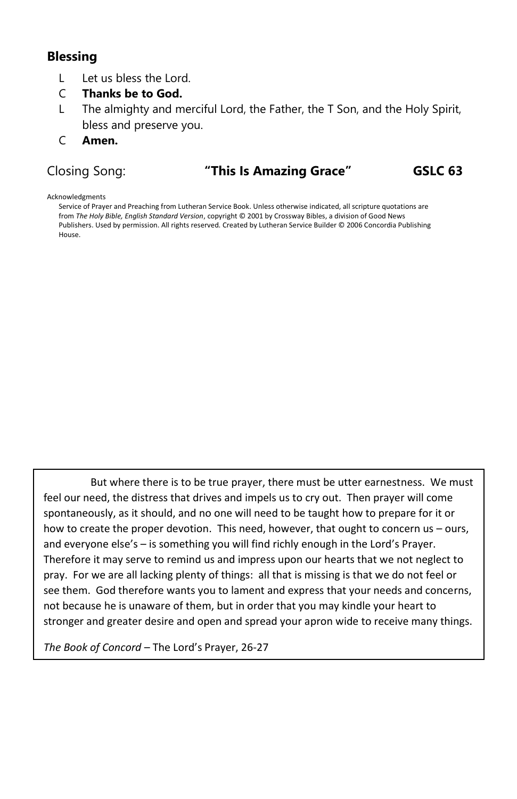## **Blessing**

- L Let us bless the Lord.
- C **Thanks be to God.**
- L The almighty and merciful Lord, the Father, the T Son, and the Holy Spirit, bless and preserve you.
- C **Amen.**

## Closing Song: **"This Is Amazing Grace" GSLC 63**

Acknowledgments

Service of Prayer and Preaching from Lutheran Service Book. Unless otherwise indicated, all scripture quotations are from *The Holy Bible, English Standard Version*, copyright © 2001 by Crossway Bibles, a division of Good News Publishers. Used by permission. All rights reserved. Created by Lutheran Service Builder © 2006 Concordia Publishing House.

But where there is to be true prayer, there must be utter earnestness. We must feel our need, the distress that drives and impels us to cry out. Then prayer will come spontaneously, as it should, and no one will need to be taught how to prepare for it or how to create the proper devotion. This need, however, that ought to concern us – ours, and everyone else's – is something you will find richly enough in the Lord's Prayer. Therefore it may serve to remind us and impress upon our hearts that we not neglect to pray. For we are all lacking plenty of things: all that is missing is that we do not feel or see them. God therefore wants you to lament and express that your needs and concerns, not because he is unaware of them, but in order that you may kindle your heart to stronger and greater desire and open and spread your apron wide to receive many things.

*The Book of Concord* – The Lord's Prayer, 26-27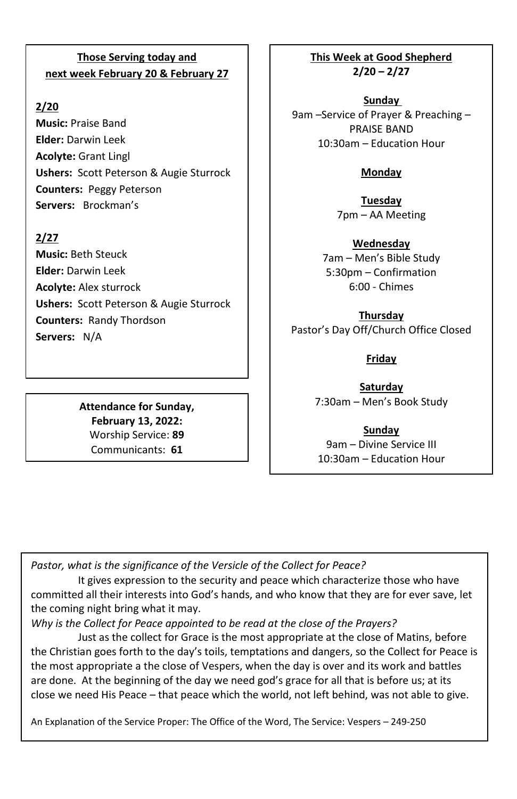## **Those Serving today and next week February 20 & February 27**

## **2/20**

**Music:** Praise Band **Elder:** Darwin Leek **Acolyte:** Grant Lingl **Ushers:** Scott Peterson & Augie Sturrock **Counters:** Peggy Peterson **Servers:** Brockman's

## **2/27**

**Music:** Beth Steuck **Elder:** Darwin Leek **Acolyte:** Alex sturrock **Ushers:** Scott Peterson & Augie Sturrock **Counters:** Randy Thordson **Servers:** N/A

> **Attendance for Sunday, February 13, 2022:** Worship Service: **89** Communicants: **61**

**This Week at Good Shepherd 2/20 – 2/27**

**Sunday**  9am –Service of Prayer & Preaching – PRAISE BAND 10:30am – Education Hour

## **Monday**

**Tuesday** 7pm – AA Meeting

**Wednesday** 7am – Men's Bible Study 5:30pm – Confirmation 6:00 - Chimes

**Thursday** Pastor's Day Off/Church Office Closed

## **Friday**

**Saturday** 7:30am – Men's Book Study

**Sunday** 9am – Divine Service III 10:30am – Education Hour

*Pastor, what is the significance of the Versicle of the Collect for Peace?*

It gives expression to the security and peace which characterize those who have committed all their interests into God's hands, and who know that they are for ever save, let the coming night bring what it may.

*Why is the Collect for Peace appointed to be read at the close of the Prayers?*

Just as the collect for Grace is the most appropriate at the close of Matins, before the Christian goes forth to the day's toils, temptations and dangers, so the Collect for Peace is the most appropriate a the close of Vespers, when the day is over and its work and battles are done. At the beginning of the day we need god's grace for all that is before us; at its close we need His Peace – that peace which the world, not left behind, was not able to give.

An Explanation of the Service Proper: The Office of the Word, The Service: Vespers – 249-250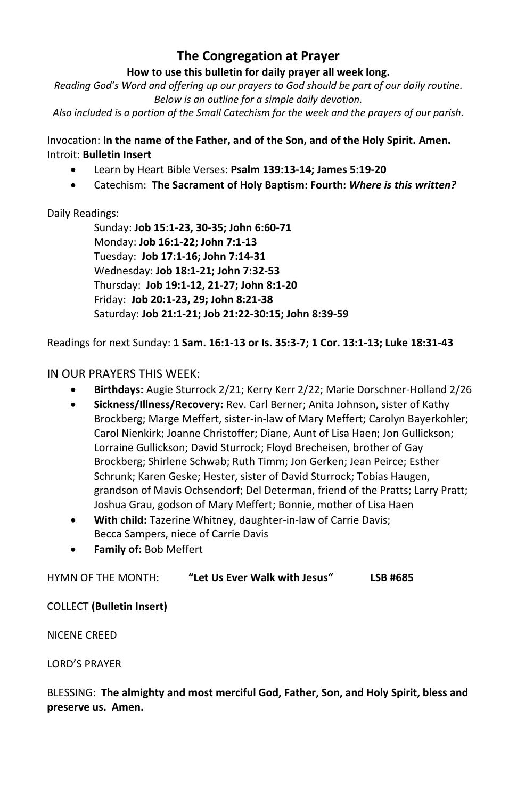# **The Congregation at Prayer**

#### **How to use this bulletin for daily prayer all week long.**

*Reading God's Word and offering up our prayers to God should be part of our daily routine. Below is an outline for a simple daily devotion.*

*Also included is a portion of the Small Catechism for the week and the prayers of our parish.*

Invocation: **In the name of the Father, and of the Son, and of the Holy Spirit. Amen.** Introit: **Bulletin Insert**

- Learn by Heart Bible Verses: **Psalm 139:13-14; James 5:19-20**
- Catechism: **The Sacrament of Holy Baptism: Fourth:** *Where is this written?*

## Daily Readings:

Sunday: **Job 15:1-23, 30-35; John 6:60-71** Monday: **Job 16:1-22; John 7:1-13** Tuesday: **Job 17:1-16; John 7:14-31** Wednesday: **Job 18:1-21; John 7:32-53** Thursday: **Job 19:1-12, 21-27; John 8:1-20** Friday: **Job 20:1-23, 29; John 8:21-38** Saturday: **Job 21:1-21; Job 21:22-30:15; John 8:39-59**

Readings for next Sunday: **1 Sam. 16:1-13 or Is. 35:3-7; 1 Cor. 13:1-13; Luke 18:31-43**

## IN OUR PRAYERS THIS WEEK:

- **Birthdays:** Augie Sturrock 2/21; Kerry Kerr 2/22; Marie Dorschner-Holland 2/26
- **Sickness/Illness/Recovery:** Rev. Carl Berner; Anita Johnson, sister of Kathy Brockberg; Marge Meffert, sister-in-law of Mary Meffert; Carolyn Bayerkohler; Carol Nienkirk; Joanne Christoffer; Diane, Aunt of Lisa Haen; Jon Gullickson; Lorraine Gullickson; David Sturrock; Floyd Brecheisen, brother of Gay Brockberg; Shirlene Schwab; Ruth Timm; Jon Gerken; Jean Peirce; Esther Schrunk; Karen Geske; Hester, sister of David Sturrock; Tobias Haugen, grandson of Mavis Ochsendorf; Del Determan, friend of the Pratts; Larry Pratt; Joshua Grau, godson of Mary Meffert; Bonnie, mother of Lisa Haen
- **With child:** Tazerine Whitney, daughter-in-law of Carrie Davis; Becca Sampers, niece of Carrie Davis
- **Family of:** Bob Meffert

#### HYMN OF THE MONTH: **"Let Us Ever Walk with Jesus" LSB #685**

#### COLLECT **(Bulletin Insert)**

NICENE CREED

LORD'S PRAYER

BLESSING: **The almighty and most merciful God, Father, Son, and Holy Spirit, bless and preserve us. Amen.**